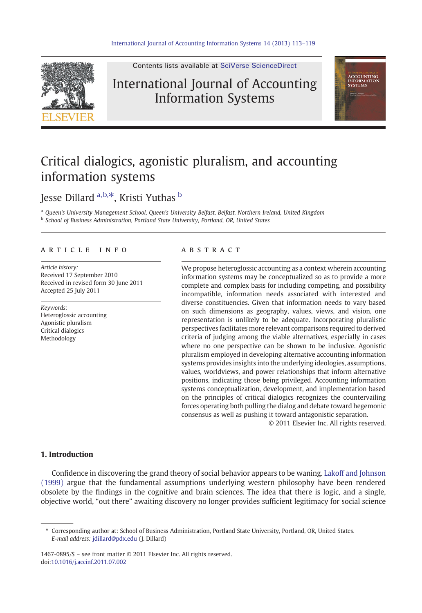

Contents lists available at [SciVerse ScienceDirect](http://www.sciencedirect.com/science/journal/14670895)

## International Journal of Accounting Information Systems



# Critical dialogics, agonistic pluralism, and accounting information systems

## Jesse Dillard a, b,\*, Kristi Yuthas b

<sup>a</sup> Queen's University Management School, Queen's University Belfast, Belfast, Northern Ireland, United Kingdom b School of Business Administration, Portland State University, Portland, OR, United States

### article info abstract

Article history: Received 17 September 2010 Received in revised form 30 June 2011 Accepted 25 July 2011

Keywords: Heteroglossic accounting Agonistic pluralism Critical dialogics Methodology

We propose heteroglossic accounting as a context wherein accounting information systems may be conceptualized so as to provide a more complete and complex basis for including competing, and possibility incompatible, information needs associated with interested and diverse constituencies. Given that information needs to vary based on such dimensions as geography, values, views, and vision, one representation is unlikely to be adequate. Incorporating pluralistic perspectives facilitates more relevant comparisons required to derived criteria of judging among the viable alternatives, especially in cases where no one perspective can be shown to be inclusive. Agonistic pluralism employed in developing alternative accounting information systems provides insights into the underlying ideologies, assumptions, values, worldviews, and power relationships that inform alternative positions, indicating those being privileged. Accounting information systems conceptualization, development, and implementation based on the principles of critical dialogics recognizes the countervailing forces operating both pulling the dialog and debate toward hegemonic consensus as well as pushing it toward antagonistic separation.

© 2011 Elsevier Inc. All rights reserved.

### 1. Introduction

Confidence in discovering the grand theory of social behavior appears to be waning. [Lakoff and Johnson](#page--1-0) [\(1999\)](#page--1-0) argue that the fundamental assumptions underlying western philosophy have been rendered obsolete by the findings in the cognitive and brain sciences. The idea that there is logic, and a single, objective world, "out there" awaiting discovery no longer provides sufficient legitimacy for social science

1467-0895/\$ – see front matter © 2011 Elsevier Inc. All rights reserved. doi:[10.1016/j.accinf.2011.07.002](http://dx.doi.org/10.1016/j.accinf.2011.07.002)

<sup>⁎</sup> Corresponding author at: School of Business Administration, Portland State University, Portland, OR, United States. E-mail address: [jdillard@pdx.edu](mailto:jdillard@pdx.edu) (J. Dillard)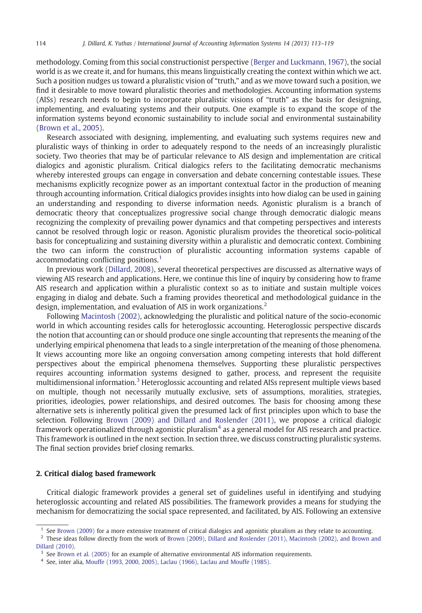methodology. Coming from this social constructionist perspective [\(Berger and Luckmann, 1967\)](#page--1-0), the social world is as we create it, and for humans, this means linguistically creating the context within which we act. Such a position nudges us toward a pluralistic vision of "truth," and as we move toward such a position, we find it desirable to move toward pluralistic theories and methodologies. Accounting information systems (AISs) research needs to begin to incorporate pluralistic visions of "truth" as the basis for designing, implementing, and evaluating systems and their outputs. One example is to expand the scope of the information systems beyond economic sustainability to include social and environmental sustainability ([Brown et al., 2005](#page--1-0)).

Research associated with designing, implementing, and evaluating such systems requires new and pluralistic ways of thinking in order to adequately respond to the needs of an increasingly pluralistic society. Two theories that may be of particular relevance to AIS design and implementation are critical dialogics and agonistic pluralism. Critical dialogics refers to the facilitating democratic mechanisms whereby interested groups can engage in conversation and debate concerning contestable issues. These mechanisms explicitly recognize power as an important contextual factor in the production of meaning through accounting information. Critical dialogics provides insights into how dialog can be used in gaining an understanding and responding to diverse information needs. Agonistic pluralism is a branch of democratic theory that conceptualizes progressive social change through democratic dialogic means recognizing the complexity of prevailing power dynamics and that competing perspectives and interests cannot be resolved through logic or reason. Agonistic pluralism provides the theoretical socio-political basis for conceptualizing and sustaining diversity within a pluralistic and democratic context. Combining the two can inform the construction of pluralistic accounting information systems capable of accommodating conflicting positions.<sup>1</sup>

In previous work [\(Dillard, 2008](#page--1-0)), several theoretical perspectives are discussed as alternative ways of viewing AIS research and applications. Here, we continue this line of inquiry by considering how to frame AIS research and application within a pluralistic context so as to initiate and sustain multiple voices engaging in dialog and debate. Such a framing provides theoretical and methodological guidance in the design, implementation, and evaluation of AIS in work organizations.<sup>2</sup>

Following [Macintosh \(2002\)](#page--1-0), acknowledging the pluralistic and political nature of the socio-economic world in which accounting resides calls for heteroglossic accounting. Heteroglossic perspective discards the notion that accounting can or should produce one single accounting that represents the meaning of the underlying empirical phenomena that leads to a single interpretation of the meaning of those phenomena. It views accounting more like an ongoing conversation among competing interests that hold different perspectives about the empirical phenomena themselves. Supporting these pluralistic perspectives requires accounting information systems designed to gather, process, and represent the requisite multidimensional information.<sup>3</sup> Heteroglossic accounting and related AISs represent multiple views based on multiple, though not necessarily mutually exclusive, sets of assumptions, moralities, strategies, priorities, ideologies, power relationships, and desired outcomes. The basis for choosing among these alternative sets is inherently political given the presumed lack of first principles upon which to base the selection. Following [Brown \(2009\) and Dillard and Roslender \(2011\)](#page--1-0), we propose a critical dialogic framework operationalized through agonistic pluralism<sup>4</sup> as a general model for AIS research and practice. This framework is outlined in the next section. In section three, we discuss constructing pluralistic systems. The final section provides brief closing remarks.

### 2. Critical dialog based framework

Critical dialogic framework provides a general set of guidelines useful in identifying and studying heteroglossic accounting and related AIS possibilities. The framework provides a means for studying the mechanism for democratizing the social space represented, and facilitated, by AIS. Following an extensive

<sup>2</sup> These ideas follow directly from the work of [Brown \(2009\), Dillard and Roslender \(2011\), Macintosh \(2002\), and Brown and](#page--1-0) [Dillard \(2010\)](#page--1-0).

<sup>&</sup>lt;sup>1</sup> See [Brown \(2009\)](#page--1-0) for a more extensive treatment of critical dialogics and agonistic pluralism as they relate to accounting.

 $3$  See [Brown et al. \(2005\)](#page--1-0) for an example of alternative environmental AIS information requirements.

<sup>4</sup> See, inter alia, [Mouffe \(1993, 2000, 2005\), Laclau \(1966\), Laclau and Mouffe \(1985\).](#page--1-0)